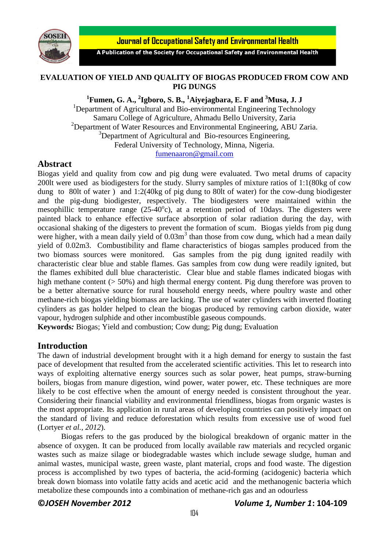

**Journal of Occupational Safety and Environmental Health** 

A Publication of the Society for Occupational Safety and Environmental Health

#### **EVALUATION OF YIELD AND QUALITY OF BIOGAS PRODUCED FROM COW AND PIG DUNGS**

**1 Fumen, G. A., <sup>2</sup> Igboro, S. B., <sup>1</sup>Aiyejagbara, E. F and <sup>3</sup>Musa, J. J**

<sup>1</sup>Department of Agricultural and Bio-environmental Engineering Technology Samaru College of Agriculture, Ahmadu Bello University, Zaria <sup>2</sup>Department of Water Resources and Environmental Engineering, ABU Zaria.  $3$ Department of Agricultural and Bio-resources Engineering, Federal University of Technology, Minna, Nigeria. [fumenaaron@gmail.com](mailto:fumenaaron@gmail.com)

# **Abstract**

Biogas yield and quality from cow and pig dung were evaluated. Two metal drums of capacity 200lt were used as biodigesters for the study. Slurry samples of mixture ratios of 1:1(80kg of cow dung to 80lt of water ) and 1:2(40kg of pig dung to 80lt of water) for the cow-dung biodigester and the pig-dung biodigester, respectively. The biodigesters were maintained within the mesophillic temperature range  $(25-40^{\circ}c)$ , at a retention period of 10days. The digesters were painted black to enhance effective surface absorption of solar radiation during the day, with occasional shaking of the digesters to prevent the formation of scum. Biogas yields from pig dung were higher, with a mean daily yield of  $0.03m<sup>3</sup>$  than those from cow dung, which had a mean daily yield of 0.02m3. Combustibility and flame characteristics of biogas samples produced from the two biomass sources were monitored. Gas samples from the pig dung ignited readily with characteristic clear blue and stable flames. Gas samples from cow dung were readily ignited, but the flames exhibited dull blue characteristic. Clear blue and stable flames indicated biogas with high methane content ( $> 50\%$ ) and high thermal energy content. Pig dung therefore was proven to be a better alternative source for rural household energy needs, where poultry waste and other methane-rich biogas yielding biomass are lacking. The use of water cylinders with inverted floating cylinders as gas holder helped to clean the biogas produced by removing carbon dioxide, water vapour, hydrogen sulphide and other incombustible gaseous compounds.

**Keywords***:* Biogas; Yield and combustion; Cow dung; Pig dung; Evaluation

## **Introduction**

The dawn of industrial development brought with it a high demand for energy to sustain the fast pace of development that resulted from the accelerated scientific activities. This let to research into ways of exploiting alternative energy sources such as solar power, heat pumps, straw-burning boilers, biogas from manure digestion, wind power, water power, etc. These techniques are more likely to be cost effective when the amount of energy needed is consistent throughout the year. Considering their financial viability and environmental friendliness, biogas from organic wastes is the most appropriate. Its application in rural areas of developing countries can positively impact on the standard of living and reduce deforestation which results from excessive use of wood fuel (Lortyer *et al., 2012*).

Biogas refers to the gas produced by the biological breakdown of organic matter in the absence of oxygen. It can be produced from locally available raw materials and recycled organic wastes such as maize silage or biodegradable wastes which include sewage sludge, human and animal wastes, municipal waste, green waste, plant material, crops and food waste. The digestion process is accomplished by two types of bacteria, the acid-forming (acidogenic) bacteria which break down biomass into volatile fatty acids and acetic acid and the methanogenic bacteria which metabolize these compounds into a combination of methane-rich gas and an odourless

## **©***JOSEH November 2012 Volume 1, Number 1***: 104-109**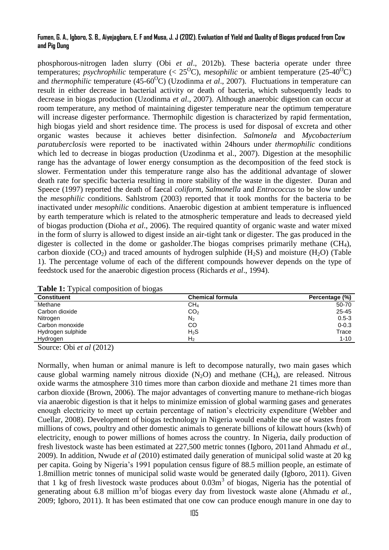#### **Fumen, G. A., Igboro, S. B., Aiyejagbara, E. F and Musa, J. J (2012). Evaluation of Yield and Quality of Biogas produced from Cow and Pig Dung**

phosphorous-nitrogen laden slurry (Obi *et al*., 2012b). These bacteria operate under three temperatures; *psychrophilic* temperature (<  $25^{\circ}$ C), *mesophilic* or ambient temperature (25-40<sup>°</sup>C) and *thermophilic* temperature (45-60<sup>o</sup>C) (Uzodinma *et al.*, 2007). Fluctuations in temperature can result in either decrease in bacterial activity or death of bacteria, which subsequently leads to decrease in biogas production (Uzodinma *et al*., 2007). Although anaerobic digestion can occur at room temperature, any method of maintaining digester temperature near the optimum temperature will increase digester performance. Thermophilc digestion is characterized by rapid fermentation, high biogas yield and short residence time. The process is used for disposal of excreta and other organic wastes because it achieves better disinfection. *Salmonela* and *Mycobacterium paratuberclosis* were reported to be inactivated within 24hours under *thermophilic* conditions which led to decrease in biogas production (Uzodinma et al., 2007). Digestion at the mesophilic range has the advantage of lower energy consumption as the decomposition of the feed stock is slower. Fermentation under this temperature range also has the additional advantage of slower death rate for specific bacteria resulting in more stability of the waste in the digester. Duran and Speece (1997) reported the death of faecal *coliform, Salmonella* and *Entrococcus* to be slow under the *mesophilic* conditions. Sahlstrom (2003) reported that it took months for the bacteria to be inactivated under *mesophilic* conditions. Anaerobic digestion at ambient temperature is influenced by earth temperature which is related to the atmospheric temperature and leads to decreased yield of biogas production (Dioha *et al*., 2006). The required quantity of organic waste and water mixed in the form of slurry is allowed to digest inside an air-tight tank or digester. The gas produced in the digester is collected in the dome or gasholder. The biogas comprises primarily methane  $(CH<sub>4</sub>)$ , carbon dioxide  $(CO_2)$  and traced amounts of hydrogen sulphide  $(H_2S)$  and moisture  $(H_2O)$  (Table 1). The percentage volume of each of the different compounds however depends on the type of feedstock used for the anaerobic digestion process (Richards *et al*., 1994).

| ້.                 |                         |                |
|--------------------|-------------------------|----------------|
| <b>Constituent</b> | <b>Chemical formula</b> | Percentage (%) |
| Methane            | CH <sub>4</sub>         | 50-70          |
| Carbon dioxide     | CO <sub>2</sub>         | $25 - 45$      |
| Nitrogen           | N <sub>2</sub>          | $0.5 - 3$      |
| Carbon monoxide    | CO                      | $0 - 0.3$      |
| Hydrogen sulphide  | H <sub>2</sub> S        | Trace          |
| Hydrogen           | H2                      | $1 - 10$       |

**Table 1:** Typical composition of biogas

Source: Obi *et al* (2012)

Normally, when human or animal manure is left to decompose naturally, two main gases which cause global warming namely nitrous dioxide  $(N_2O)$  and methane  $(CH_4)$ , are released. Nitrous oxide warms the atmosphere 310 times more than carbon dioxide and methane 21 times more than carbon dioxide (Brown, 2006). The major advantages of converting manure to methane-rich biogas via anaerobic digestion is that it helps to minimize emission of global warming gases and generates enough electricity to meet up certain percentage of nation's electricity expenditure (Webber and Cuellar, 2008). Development of biogas technology in Nigeria would enable the use of wastes from millions of cows, poultry and other domestic animals to generate billions of kilowatt hours (kwh) of electricity, enough to power millions of homes across the country. In Nigeria, daily production of fresh livestock waste has been estimated at 227,500 metric tonnes (Igboro, 2011and Ahmadu *et al.,* 2009). In addition, Nwude *et al* (2010) estimated daily generation of municipal solid waste at 20 kg per capita. Going by Nigeria's 1991 population census figure of 88.5 million people, an estimate of 1.8million metric tonnes of municipal solid waste would be generated daily (Igboro, 2011). Given that 1 kg of fresh livestock waste produces about  $0.03m<sup>3</sup>$  of biogas, Nigeria has the potential of generating about 6.8 million m<sup>3</sup>of biogas every day from livestock waste alone (Ahmadu et al., 2009; Igboro, 2011). It has been estimated that one cow can produce enough manure in one day to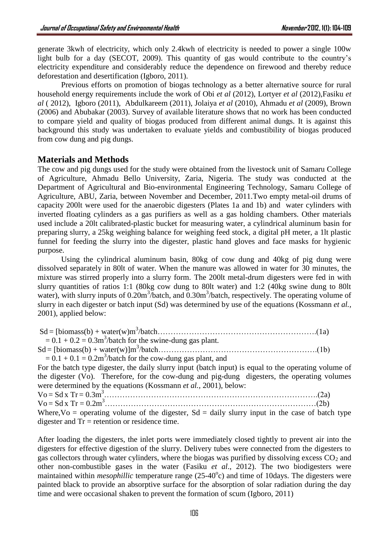generate 3kwh of electricity, which only 2.4kwh of electricity is needed to power a single 100w light bulb for a day (SECOT, 2009). This quantity of gas would contribute to the country's electricity expenditure and considerably reduce the dependence on firewood and thereby reduce deforestation and desertification (Igboro, 2011).

Previous efforts on promotion of biogas technology as a better alternative source for rural household energy requirements include the work of Obi *et al* (2012), Lortyer *et al* (2012),Fasiku *et al* ( 2012), Igboro (2011), Abdulkareem (2011), Jolaiya *et al* (2010), Ahmadu *et al* (2009), Brown (2006) and Abubakar (2003). Survey of available literature shows that no work has been conducted to compare yield and quality of biogas produced from different animal dungs. It is against this background this study was undertaken to evaluate yields and combustibility of biogas produced from cow dung and pig dungs.

## **Materials and Methods**

The cow and pig dungs used for the study were obtained from the livestock unit of Samaru College of Agriculture, Ahmadu Bello University, Zaria, Nigeria. The study was conducted at the Department of Agricultural and Bio-environmental Engineering Technology, Samaru College of Agriculture, ABU, Zaria, between November and December, 2011.Two empty metal-oil drums of capacity 200lt were used for the anaerobic digesters (Plates 1a and 1b) and water cylinders with inverted floating cylinders as a gas purifiers as well as a gas holding chambers. Other materials used include a 20lt calibrated-plastic bucket for measuring water, a cylindrical aluminum basin for preparing slurry, a 25kg weighing balance for weighing feed stock, a digital pH meter, a 1lt plastic funnel for feeding the slurry into the digester, plastic hand gloves and face masks for hygienic purpose.

Using the cylindrical aluminum basin, 80kg of cow dung and 40kg of pig dung were dissolved separately in 80lt of water. When the manure was allowed in water for 30 minutes, the mixture was stirred properly into a slurry form. The 200lt metal-drum digesters were fed in with slurry quantities of ratios 1:1 (80kg cow dung to 80lt water) and 1:2 (40kg swine dung to 80lt water), with slurry inputs of 0.20m<sup>3</sup>/batch, and 0.30m<sup>3</sup>/batch, respectively. The operating volume of slurry in each digester or batch input (Sd) was determined by use of the equations (Kossmann *et al.,* 2001), applied below:

| $Sd = [biomass(b) + water(w)m3/batch(1a)$                                                             |  |
|-------------------------------------------------------------------------------------------------------|--|
| $= 0.1 + 0.2 = 0.3$ m <sup>3</sup> /batch for the swine-dung gas plant.                               |  |
| $Sd = [biomass(b) + water(w)]m3/batch(1b)$                                                            |  |
| $= 0.1 + 0.1 = 0.2$ m <sup>3</sup> /batch for the cow-dung gas plant, and                             |  |
| For the batch type digester, the daily slurry input (batch input) is equal to the operating volume of |  |
| the digester (Vo). Therefore, for the cow-dung and pig-dung digesters, the operating volumes          |  |
| were determined by the equations (Kossmann et al., 2001), below:                                      |  |
|                                                                                                       |  |
|                                                                                                       |  |
| Where, $V_0$ = operating volume of the digester, $S_d$ = daily slurry input in the case of batch type |  |
| digester and $Tr =$ retention or residence time.                                                      |  |

After loading the digesters, the inlet ports were immediately closed tightly to prevent air into the digesters for effective digestion of the slurry. Delivery tubes were connected from the digesters to gas collectors through water cylinders, where the biogas was purified by dissolving excess  $CO<sub>2</sub>$  and other non-combustible gases in the water (Fasiku *et al*., 2012). The two biodigesters were maintained within *mesophillic* temperature range (25-40°c) and time of 10days. The digesters were painted black to provide an absorptive surface for the absorption of solar radiation during the day time and were occasional shaken to prevent the formation of scum (Igboro, 2011)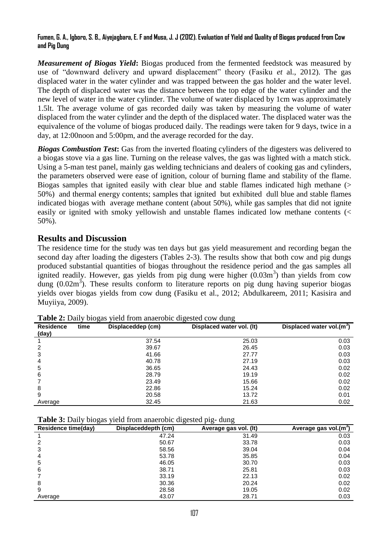#### **Fumen, G. A., Igboro, S. B., Aiyejagbara, E. F and Musa, J. J (2012). Evaluation of Yield and Quality of Biogas produced from Cow and Pig Dung**

*Measurement of Biogas Yield***:** Biogas produced from the fermented feedstock was measured by use of "downward delivery and upward displacement" theory (Fasiku *et* al., 2012). The gas displaced water in the water cylinder and was trapped between the gas holder and the water level. The depth of displaced water was the distance between the top edge of the water cylinder and the new level of water in the water cylinder. The volume of water displaced by 1cm was approximately 1.5lt. The average volume of gas recorded daily was taken by measuring the volume of water displaced from the water cylinder and the depth of the displaced water. The displaced water was the equivalence of the volume of biogas produced daily. The readings were taken for 9 days, twice in a day, at 12:00noon and 5:00pm, and the average recorded for the day.

*Biogas Combustion Test***:** Gas from the inverted floating cylinders of the digesters was delivered to a biogas stove via a gas line. Turning on the release valves, the gas was lighted with a match stick. Using a 5-man test panel, mainly gas welding technicians and dealers of cooking gas and cylinders, the parameters observed were ease of ignition, colour of burning flame and stability of the flame. Biogas samples that ignited easily with clear blue and stable flames indicated high methane (> 50%) and thermal energy contents; samples that ignited but exhibited dull blue and stable flames indicated biogas with average methane content (about 50%), while gas samples that did not ignite easily or ignited with smoky yellowish and unstable flames indicated low methane contents (< 50%).

# **Results and Discussion**

The residence time for the study was ten days but gas yield measurement and recording began the second day after loading the digesters (Tables 2-3). The results show that both cow and pig dungs produced substantial quantities of biogas throughout the residence period and the gas samples all ignited readily. However, gas yields from pig dung were higher  $(0.03m<sup>3</sup>)$  than yields from cow dung  $(0.02m<sup>3</sup>)$ . These results conform to literature reports on pig dung having superior biogas yields over biogas yields from cow dung (Fasiku et al., 2012; Abdulkareem, 2011; Kasisira and Muyiiya, 2009).

| <b>Residence</b><br>(day) | time | Displaceddep (cm) | Displaced water vol. (It) | Displaced water vol.(m <sup>3</sup> ) |
|---------------------------|------|-------------------|---------------------------|---------------------------------------|
|                           |      | 37.54             | 25.03                     | 0.03                                  |
| 2                         |      | 39.67             | 26.45                     | 0.03                                  |
| 3                         |      | 41.66             | 27.77                     | 0.03                                  |
| 4                         |      | 40.78             | 27.19                     | 0.03                                  |
| 5                         |      | 36.65             | 24.43                     | 0.02                                  |
| 6                         |      | 28.79             | 19.19                     | 0.02                                  |
|                           |      | 23.49             | 15.66                     | 0.02                                  |
| 8                         |      | 22.86             | 15.24                     | 0.02                                  |
| 9                         |      | 20.58             | 13.72                     | 0.01                                  |
| Average                   |      | 32.45             | 21.63                     | 0.02                                  |

**Table 2:** Daily biogas yield from anaerobic digested cow dung

**Table 3:** Daily biogas yield from anaerobic digested pig- dung

| $\tilde{}$<br><b>Residence time(day)</b> | . .<br>J<br>Displaceddepth (cm) | . .<br>ັ<br>Average gas vol. (It) | Average gas vol.(m <sup>3</sup> ) |
|------------------------------------------|---------------------------------|-----------------------------------|-----------------------------------|
|                                          | 47.24                           | 31.49                             | 0.03                              |
| 2                                        | 50.67                           | 33.78                             | 0.03                              |
| 3                                        | 58.56                           | 39.04                             | 0.04                              |
| 4                                        | 53.78                           | 35.85                             | 0.04                              |
| 5                                        | 46.05                           | 30.70                             | 0.03                              |
| 6                                        | 38.71                           | 25.81                             | 0.03                              |
|                                          | 33.19                           | 22.13                             | 0.02                              |
| 8                                        | 30.36                           | 20.24                             | 0.02                              |
| 9                                        | 28.58                           | 19.05                             | 0.02                              |
| Average                                  | 43.07                           | 28.71                             | 0.03                              |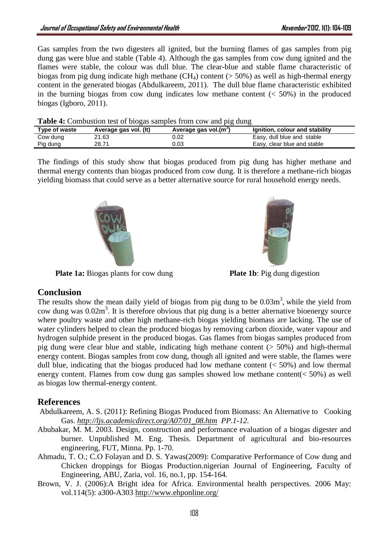Gas samples from the two digesters all ignited, but the burning flames of gas samples from pig dung gas were blue and stable (Table 4). Although the gas samples from cow dung ignited and the flames were stable, the colour was dull blue. The clear-blue and stable flame characteristic of biogas from pig dung indicate high methane  $(CH_4)$  content ( $> 50\%$ ) as well as high-thermal energy content in the generated biogas (Abdulkareem, 2011). The dull blue flame characteristic exhibited in the burning biogas from cow dung indicates low methane content  $\ll 50\%$ ) in the produced biogas (Igboro, 2011).

|  |  | <b>Table 4:</b> Combustion test of biogas samples from cow and pig dung |
|--|--|-------------------------------------------------------------------------|
|  |  |                                                                         |

| Type of waste | Average gas vol. (It) | Average gas vol.(m <sup>oro</sup> ) | Ignition, colour and stability |
|---------------|-----------------------|-------------------------------------|--------------------------------|
| Cow dung      | 21.63                 | ጋ.02                                | Easy, dull blue and stable     |
| Pig dung      | 28.71                 | 0.03                                | Easy, clear blue and stable    |

The findings of this study show that biogas produced from pig dung has higher methane and thermal energy contents than biogas produced from cow dung. It is therefore a methane-rich biogas yielding biomass that could serve as a better alternative source for rural household energy needs.



**Plate 1a:** Biogas plants for cow dung **Plate 1b**: Pig dung digestion



# **Conclusion**

The results show the mean daily yield of biogas from pig dung to be  $0.03m<sup>3</sup>$ , while the yield from cow dung was  $0.02m<sup>3</sup>$ . It is therefore obvious that pig dung is a better alternative bioenergy source where poultry waste and other high methane-rich biogas yielding biomass are lacking. The use of water cylinders helped to clean the produced biogas by removing carbon dioxide, water vapour and hydrogen sulphide present in the produced biogas. Gas flames from biogas samples produced from pig dung were clear blue and stable, indicating high methane content  $(> 50\%)$  and high-thermal energy content. Biogas samples from cow dung, though all ignited and were stable, the flames were dull blue, indicating that the biogas produced had low methane content  $(< 50\%)$  and low thermal energy content. Flames from cow dung gas samples showed low methane content(< 50%) as well as biogas low thermal-energy content.

# **References**

- Abdulkareem, A. S. (2011): Refining Biogas Produced from Biomass: An Alternative to Cooking Gas. *[http://ljs.academicdirect.org/A07/01\\_08.htm](http://ljs.academicdirect.org/A07/01_08.htm) PP.1-12.*
- Abubakar, M. M. 2003. Design, construction and performance evaluation of a biogas digester and burner. Unpublished M. Eng. Thesis. Department of agricultural and bio-resources engineering, FUT, Minna. Pp. 1-70.
- Ahmadu, T. O.; C.O Folayan and D. S. Yawas(2009): Comparative Performance of Cow dung and Chicken droppings for Biogas Production.nigerian Journal of Engineering, Faculty of Engineering, ABU, Zaria, vol. 16, no.1, pp. 154-164.
- Brown, V. J. (2006):A Bright idea for Africa. Environmental health perspectives. 2006 May: vol.114(5): a300-A303<http://www.ehponline.org/>